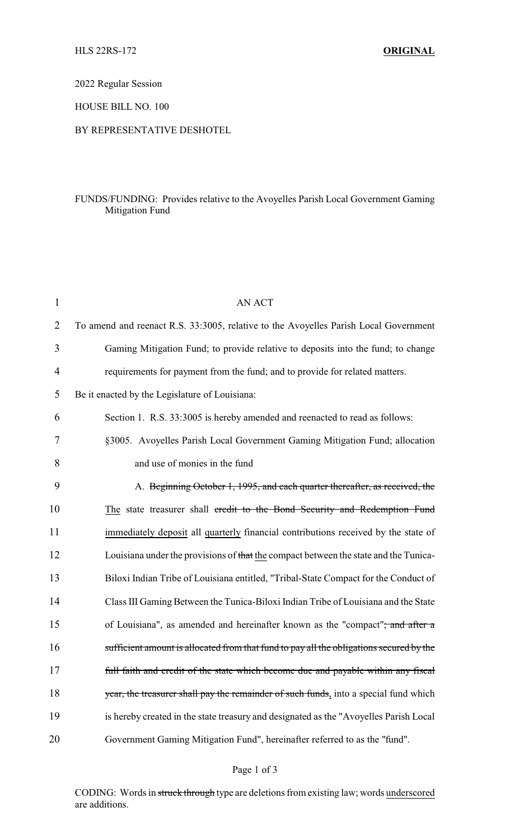2022 Regular Session

HOUSE BILL NO. 100

## BY REPRESENTATIVE DESHOTEL

## FUNDS/FUNDING: Provides relative to the Avoyelles Parish Local Government Gaming Mitigation Fund

| $\mathbf{1}$   | <b>AN ACT</b>                                                                             |
|----------------|-------------------------------------------------------------------------------------------|
| $\overline{2}$ | To amend and reenact R.S. 33:3005, relative to the Avoyelles Parish Local Government      |
| 3              | Gaming Mitigation Fund; to provide relative to deposits into the fund; to change          |
| $\overline{4}$ | requirements for payment from the fund; and to provide for related matters.               |
| 5              | Be it enacted by the Legislature of Louisiana:                                            |
| 6              | Section 1. R.S. 33:3005 is hereby amended and reenacted to read as follows:               |
| 7              | §3005. Avoyelles Parish Local Government Gaming Mitigation Fund; allocation               |
| 8              | and use of monies in the fund                                                             |
| 9              | A. Beginning October 1, 1995, and each quarter thereafter, as received, the               |
| 10             | The state treasurer shall credit to the Bond Security and Redemption Fund                 |
| 11             | immediately deposit all quarterly financial contributions received by the state of        |
| 12             | Louisiana under the provisions of that the compact between the state and the Tunica-      |
| 13             | Biloxi Indian Tribe of Louisiana entitled, "Tribal-State Compact for the Conduct of       |
| 14             | Class III Gaming Between the Tunica-Biloxi Indian Tribe of Louisiana and the State        |
| 15             | of Louisiana", as amended and hereinafter known as the "compact" <del>; and after a</del> |
| 16             | sufficient amount is allocated from that fund to pay all the obligations secured by the   |
| 17             | full faith and credit of the state which become due and payable within any fiscal         |
| 18             | year, the treasurer shall pay the remainder of such funds, into a special fund which      |
| 19             | is hereby created in the state treasury and designated as the "Avoyelles Parish Local     |
| 20             | Government Gaming Mitigation Fund", hereinafter referred to as the "fund".                |

## Page 1 of 3

CODING: Words in struck through type are deletions from existing law; words underscored are additions.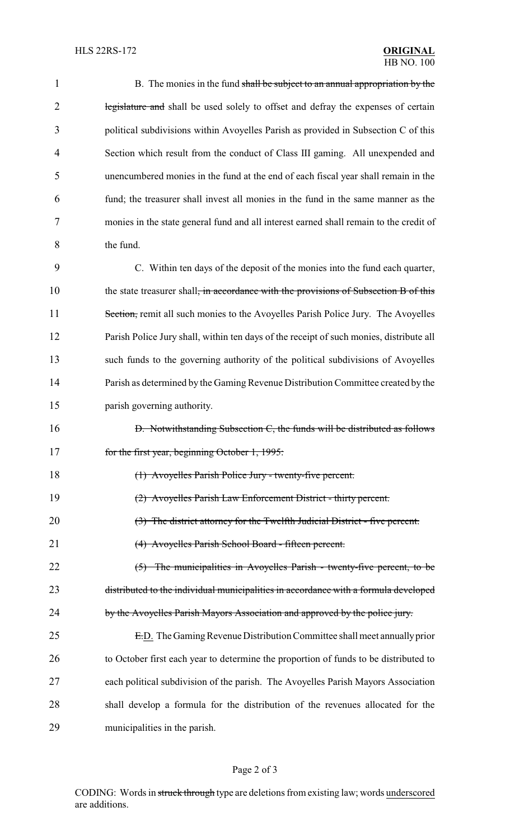| $\mathbf{1}$   | B. The monies in the fund shall be subject to an annual appropriation by the                     |
|----------------|--------------------------------------------------------------------------------------------------|
| $\overline{2}$ | legislature and shall be used solely to offset and defray the expenses of certain                |
| 3              | political subdivisions within Avoyelles Parish as provided in Subsection C of this               |
| 4              | Section which result from the conduct of Class III gaming. All unexpended and                    |
| 5              | unencumbered monies in the fund at the end of each fiscal year shall remain in the               |
| 6              | fund; the treasurer shall invest all monies in the fund in the same manner as the                |
| 7              | monies in the state general fund and all interest earned shall remain to the credit of           |
| 8              | the fund.                                                                                        |
| 9              | C. Within ten days of the deposit of the monies into the fund each quarter,                      |
| 10             | the state treasurer shall <del>, in accordance with the provisions of Subsection B of this</del> |
| 11             | Section, remit all such monies to the Avoyelles Parish Police Jury. The Avoyelles                |
| 12             | Parish Police Jury shall, within ten days of the receipt of such monies, distribute all          |
| 13             | such funds to the governing authority of the political subdivisions of Avoyelles                 |
| 14             | Parish as determined by the Gaming Revenue Distribution Committee created by the                 |
| 15             | parish governing authority.                                                                      |
| 16             | D. Notwithstanding Subsection C, the funds will be distributed as follows                        |
| 17             | for the first year, beginning October 1, 1995:                                                   |
| 18             | (1) Avoyelles Parish Police Jury - twenty-five percent.                                          |
| 19             | (2) Avoyelles Parish Law Enforcement District - thirty percent.                                  |
| 20             | $(3)$ The district attorney for the Twelfth Judicial District - five percent.                    |
| 21             | (4) Avoyelles Parish School Board - fifteen percent.                                             |
| 22             | $(5)$ The municipalities in Avoyelles Parish - twenty-five percent, to be                        |
| 23             | distributed to the individual municipalities in accordance with a formula developed              |
| 24             | by the Avoyelles Parish Mayors Association and approved by the police jury.                      |
| 25             | E.D. The Gaming Revenue Distribution Committee shall meet annually prior                         |
| 26             | to October first each year to determine the proportion of funds to be distributed to             |
| 27             | each political subdivision of the parish. The Avoyelles Parish Mayors Association                |
| 28             | shall develop a formula for the distribution of the revenues allocated for the                   |
| 29             | municipalities in the parish.                                                                    |
|                |                                                                                                  |